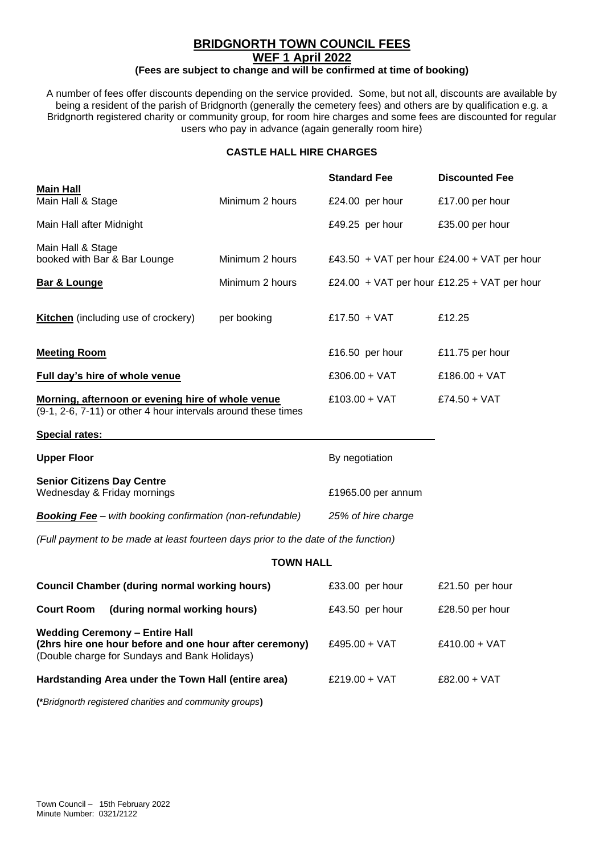# **BRIDGNORTH TOWN COUNCIL FEES WEF 1 April 2022**

# **(Fees are subject to change and will be confirmed at time of booking)**

A number of fees offer discounts depending on the service provided. Some, but not all, discounts are available by being a resident of the parish of Bridgnorth (generally the cemetery fees) and others are by qualification e.g. a Bridgnorth registered charity or community group, for room hire charges and some fees are discounted for regular users who pay in advance (again generally room hire)

## **CASTLE HALL HIRE CHARGES**

|                                                                                                                                                   |                  | <b>Standard Fee</b>                         | <b>Discounted Fee</b> |
|---------------------------------------------------------------------------------------------------------------------------------------------------|------------------|---------------------------------------------|-----------------------|
| <b>Main Hall</b><br>Main Hall & Stage                                                                                                             | Minimum 2 hours  | £24.00 per hour                             | £17.00 per hour       |
| Main Hall after Midnight                                                                                                                          |                  | £49.25 per hour                             | £35.00 per hour       |
| Main Hall & Stage<br>booked with Bar & Bar Lounge                                                                                                 | Minimum 2 hours  | £43.50 + VAT per hour £24.00 + VAT per hour |                       |
| <b>Bar &amp; Lounge</b>                                                                                                                           | Minimum 2 hours  | £24.00 + VAT per hour £12.25 + VAT per hour |                       |
| <b>Kitchen</b> (including use of crockery)                                                                                                        | per booking      | £17.50 + VAT                                | £12.25                |
| <b>Meeting Room</b>                                                                                                                               |                  | £16.50 per hour                             | £11.75 per hour       |
| Full day's hire of whole venue                                                                                                                    |                  | $£306.00 + VAT$                             | $£186.00 + VAT$       |
| Morning, afternoon or evening hire of whole venue<br>(9-1, 2-6, 7-11) or other 4 hour intervals around these times                                |                  | $£103.00 + VAT$                             | £74.50 + VAT          |
| <b>Special rates:</b>                                                                                                                             |                  |                                             |                       |
| <b>Upper Floor</b>                                                                                                                                |                  | By negotiation                              |                       |
| <b>Senior Citizens Day Centre</b><br>Wednesday & Friday mornings                                                                                  |                  | £1965.00 per annum                          |                       |
| <b>Booking Fee</b> – with booking confirmation (non-refundable)                                                                                   |                  | 25% of hire charge                          |                       |
| (Full payment to be made at least fourteen days prior to the date of the function)                                                                |                  |                                             |                       |
|                                                                                                                                                   | <b>TOWN HALL</b> |                                             |                       |
| <b>Council Chamber (during normal working hours)</b>                                                                                              |                  | £33.00 per hour                             | £21.50 per hour       |
| <b>Court Room</b><br>(during normal working hours)                                                                                                |                  | £43.50 per hour                             | £28.50 per hour       |
| <b>Wedding Ceremony - Entire Hall</b><br>(2hrs hire one hour before and one hour after ceremony)<br>(Double charge for Sundays and Bank Holidays) |                  | $£495.00 + VAT$                             | $£410.00 + VAT$       |
| Hardstanding Area under the Town Hall (entire area)                                                                                               |                  | £219.00 + VAT                               | £82.00 + VAT          |

**(\****Bridgnorth registered charities and community groups***)**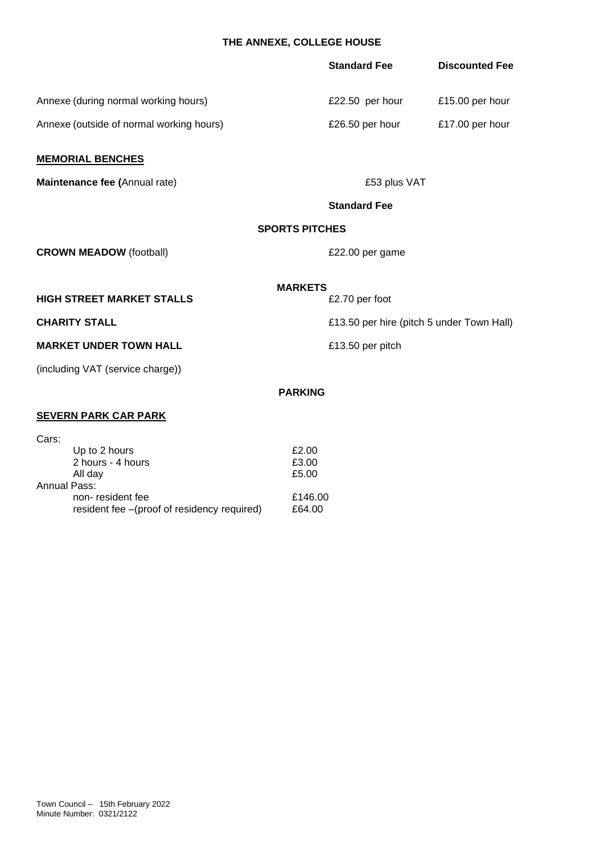# **THE ANNEXE, COLLEGE HOUSE**

|                                                                               | <b>Standard Fee</b>     | <b>Discounted Fee</b>                     |
|-------------------------------------------------------------------------------|-------------------------|-------------------------------------------|
| Annexe (during normal working hours)                                          | £22.50 per hour         | £15.00 per hour                           |
| Annexe (outside of normal working hours)                                      | £26.50 per hour         | £17.00 per hour                           |
| <b>MEMORIAL BENCHES</b>                                                       |                         |                                           |
| Maintenance fee (Annual rate)                                                 | £53 plus VAT            |                                           |
|                                                                               | <b>Standard Fee</b>     |                                           |
|                                                                               | <b>SPORTS PITCHES</b>   |                                           |
| <b>CROWN MEADOW (football)</b>                                                | £22.00 per game         |                                           |
|                                                                               | <b>MARKETS</b>          |                                           |
| <b>HIGH STREET MARKET STALLS</b>                                              | £2.70 per foot          |                                           |
| <b>CHARITY STALL</b>                                                          |                         | £13.50 per hire (pitch 5 under Town Hall) |
| <b>MARKET UNDER TOWN HALL</b>                                                 | £13.50 per pitch        |                                           |
| (including VAT (service charge))                                              |                         |                                           |
|                                                                               | <b>PARKING</b>          |                                           |
| <b>SEVERN PARK CAR PARK</b>                                                   |                         |                                           |
| Cars:<br>Up to 2 hours<br>2 hours - 4 hours<br>All day<br><b>Annual Pass:</b> | £2.00<br>£3.00<br>£5.00 |                                           |

non- resident fee<br>resident fee –(proof of residency required) £64.00

resident fee –(proof of residency required)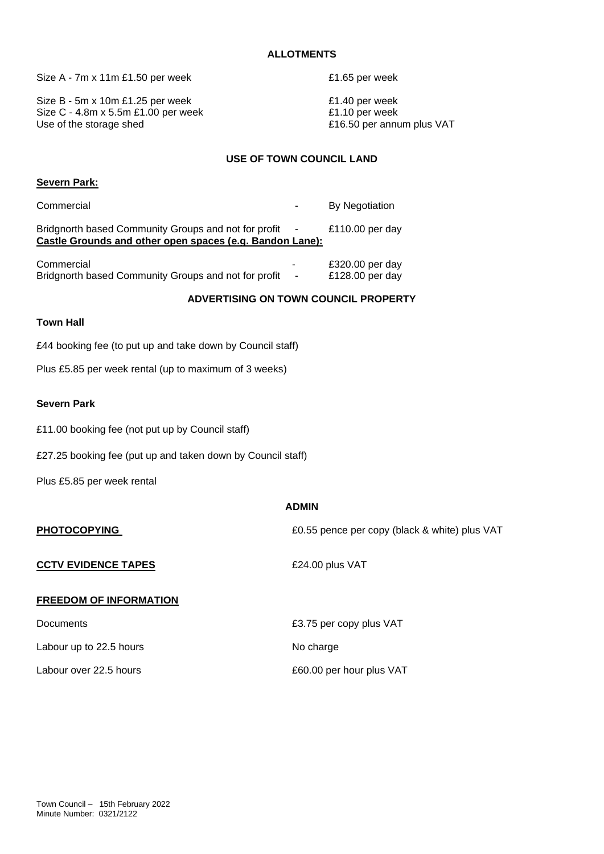#### **ALLOTMENTS**

Size A - 7m x 11m £1.50 per week <br>E1.65 per week

Size B - 5m x 10m £1.25 per week  $£1.40$  per week Size C - 4.8m x 5.5m £1.00 per week  $£1.10$  per week Use of the storage shed **E16.50** per annum plus VAT

## **USE OF TOWN COUNCIL LAND**

| <b>Severn Park:</b> |  |
|---------------------|--|
|                     |  |

Commercial **Commercial Commercial Commercial Commercial Commercial Commercial** Bridgnorth based Community Groups and not for profit - £110.00 per day **Castle Grounds and other open spaces (e.g. Bandon Lane):**

| Commercial                                           | £320.00 per day |
|------------------------------------------------------|-----------------|
| Bridgnorth based Community Groups and not for profit | £128.00 per day |

## **ADVERTISING ON TOWN COUNCIL PROPERTY**

#### **Town Hall**

£44 booking fee (to put up and take down by Council staff)

Plus £5.85 per week rental (up to maximum of 3 weeks)

### **Severn Park**

£11.00 booking fee (not put up by Council staff)

£27.25 booking fee (put up and taken down by Council staff)

Plus £5.85 per week rental

|                               | <b>ADMIN</b>                                  |
|-------------------------------|-----------------------------------------------|
| <b>PHOTOCOPYING</b>           | £0.55 pence per copy (black & white) plus VAT |
| <b>CCTV EVIDENCE TAPES</b>    | £24.00 plus VAT                               |
| <b>FREEDOM OF INFORMATION</b> |                                               |
| <b>Documents</b>              | £3.75 per copy plus VAT                       |

Labour up to 22.5 hours No charge Labour over 22.5 hours **E60.00** per hour plus VAT